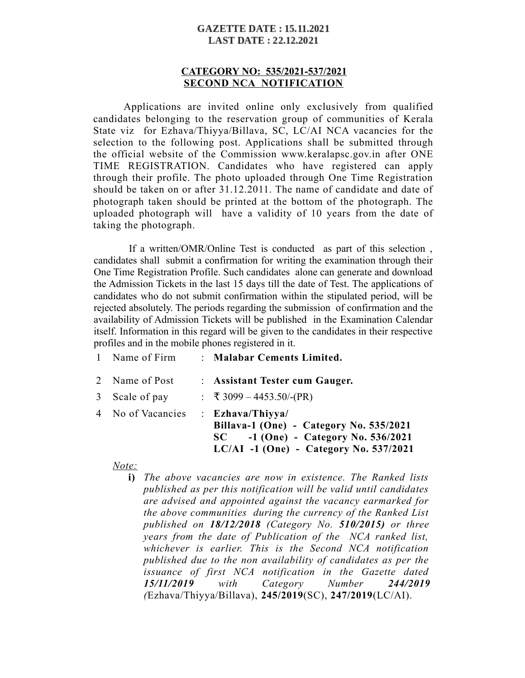#### **GAZETTE DATE: 15.11.2021 LAST DATE: 22.12.2021**

### **CATEGORY NO: 535/2021-537/2021 SECOND NCA NOTIFICATION**

Applications are invited online only exclusively from qualified candidates belonging to the reservation group of communities of Kerala State viz for Ezhava/Thiyya/Billava, SC, LC/AI NCA vacancies for the selection to the following post. Applications shall be submitted through the official website of the Commission www.keralapsc.gov.in after ONE TIME REGISTRATION. Candidates who have registered can apply through their profile. The photo uploaded through One Time Registration should be taken on or after 31.12.2011. The name of candidate and date of photograph taken should be printed at the bottom of the photograph. The uploaded photograph will have a validity of 10 years from the date of taking the photograph.

 If a written/OMR/Online Test is conducted as part of this selection , candidates shall submit a confirmation for writing the examination through their One Time Registration Profile. Such candidates alone can generate and download the Admission Tickets in the last 15 days till the date of Test. The applications of candidates who do not submit confirmation within the stipulated period, will be rejected absolutely. The periods regarding the submission of confirmation and the availability of Admission Tickets will be published in the Examination Calendar itself. Information in this regard will be given to the candidates in their respective profiles and in the mobile phones registered in it.

| $1 - 1$           | . пишкоат септепез пиписа.                                                                                                                            |
|-------------------|-------------------------------------------------------------------------------------------------------------------------------------------------------|
| 2 Name of Post    | : Assistant Tester cum Gauger.                                                                                                                        |
| 3 Scale of pay    | : $\overline{x}$ 3099 – 4453.50/-(PR)                                                                                                                 |
| 4 No of Vacancies | $:$ Ezhava/Thiyya/<br>Billava-1 (One) - Category No. 535/2021<br>$-1$ (One) - Category No. 536/2021<br>SC<br>$LC/AI -1 (One) - Category No. 537/2021$ |
| $\lambda T - 1$   |                                                                                                                                                       |

1 Name of Firm : **Malabar Cements Limited.**

*Note:*

**i)** *The above vacancies are now in existence. The Ranked lists published as per this notification will be valid until candidates are advised and appointed against the vacancy earmarked for the above communities during the currency of the Ranked List published on 18/12/2018 (Category No. 510/2015) or three years from the date of Publication of the NCA ranked list, whichever is earlier. This is the Second NCA notification published due to the non availability of candidates as per the issuance of first NCA notification in the Gazette dated 15/11/2019 with Category Number 244/2019 (*Ezhava/Thiyya/Billava), **245/2019**(SC), **247/2019**(LC/AI).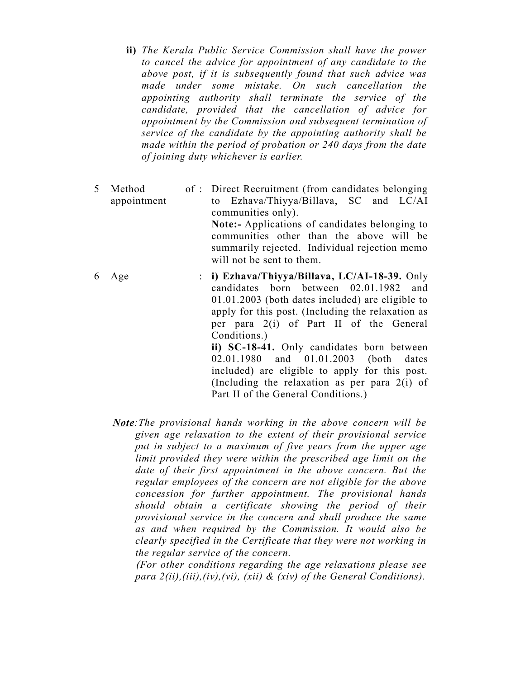- **ii)** *The Kerala Public Service Commission shall have the power to cancel the advice for appointment of any candidate to the above post, if it is subsequently found that such advice was made under some mistake. On such cancellation the appointing authority shall terminate the service of the candidate, provided that the cancellation of advice for appointment by the Commission and subsequent termination of service of the candidate by the appointing authority shall be made within the period of probation or 240 days from the date of joining duty whichever is earlier.*
- 5 Method appointment : Direct Recruitment (from candidates belonging to Ezhava/Thiyya/Billava, SC and LC/AI communities only). **Note:-** Applications of candidates belonging to communities other than the above will be summarily rejected. Individual rejection memo will not be sent to them. 6 Age : **i) Ezhava/Thiyya/Billava, LC/AI-18-39.** Only candidates born between 02.01.1982 and 01.01.2003 (both dates included) are eligible to apply for this post. (Including the relaxation as

Conditions.) **ii) SC-18-41.** Only candidates born between 02.01.1980 and 01.01.2003 (both dates included) are eligible to apply for this post. (Including the relaxation as per para 2(i) of Part II of the General Conditions.)

per para 2(i) of Part II of the General

*Note:The provisional hands working in the above concern will be given age relaxation to the extent of their provisional service put in subject to a maximum of five years from the upper age limit provided they were within the prescribed age limit on the date of their first appointment in the above concern. But the regular employees of the concern are not eligible for the above concession for further appointment. The provisional hands should obtain a certificate showing the period of their provisional service in the concern and shall produce the same as and when required by the Commission. It would also be clearly specified in the Certificate that they were not working in the regular service of the concern.* 

 *(For other conditions regarding the age relaxations please see para 2(ii),(iii),(iv),(vi), (xii) & (xiv) of the General Conditions).*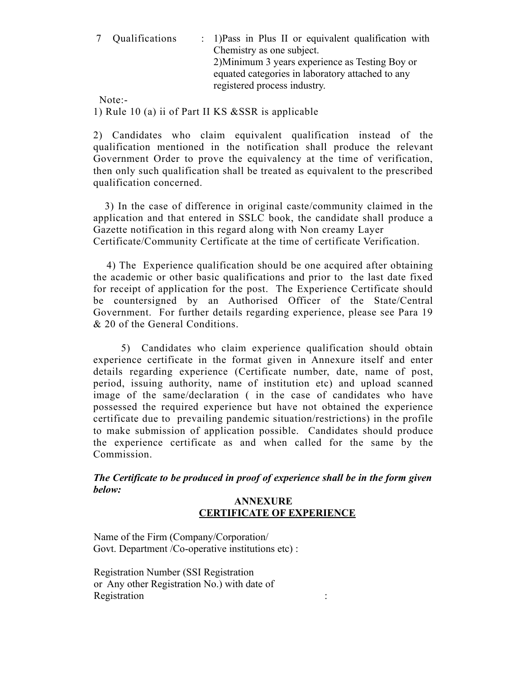| 7 Qualifications | : 1) Pass in Plus II or equivalent qualification with<br>Chemistry as one subject.<br>2) Minimum 3 years experience as Testing Boy or<br>equated categories in laboratory attached to any |
|------------------|-------------------------------------------------------------------------------------------------------------------------------------------------------------------------------------------|
|                  | registered process industry.                                                                                                                                                              |

Note:-

1) Rule 10 (a) ii of Part II KS &SSR is applicable

2) Candidates who claim equivalent qualification instead of the qualification mentioned in the notification shall produce the relevant Government Order to prove the equivalency at the time of verification, then only such qualification shall be treated as equivalent to the prescribed qualification concerned.

 3) In the case of difference in original caste/community claimed in the application and that entered in SSLC book, the candidate shall produce a Gazette notification in this regard along with Non creamy Layer Certificate/Community Certificate at the time of certificate Verification.

 4) The Experience qualification should be one acquired after obtaining the academic or other basic qualifications and prior to the last date fixed for receipt of application for the post. The Experience Certificate should be countersigned by an Authorised Officer of the State/Central Government. For further details regarding experience, please see Para 19 & 20 of the General Conditions.

 5) Candidates who claim experience qualification should obtain experience certificate in the format given in Annexure itself and enter details regarding experience (Certificate number, date, name of post, period, issuing authority, name of institution etc) and upload scanned image of the same/declaration ( in the case of candidates who have possessed the required experience but have not obtained the experience certificate due to prevailing pandemic situation/restrictions) in the profile to make submission of application possible. Candidates should produce the experience certificate as and when called for the same by the Commission.

*The Certificate to be produced in proof of experience shall be in the form given below:*

### **ANNEXURE CERTIFICATE OF EXPERIENCE**

Name of the Firm (Company/Corporation/ Govt. Department /Co-operative institutions etc) :

Registration Number (SSI Registration or Any other Registration No.) with date of Registration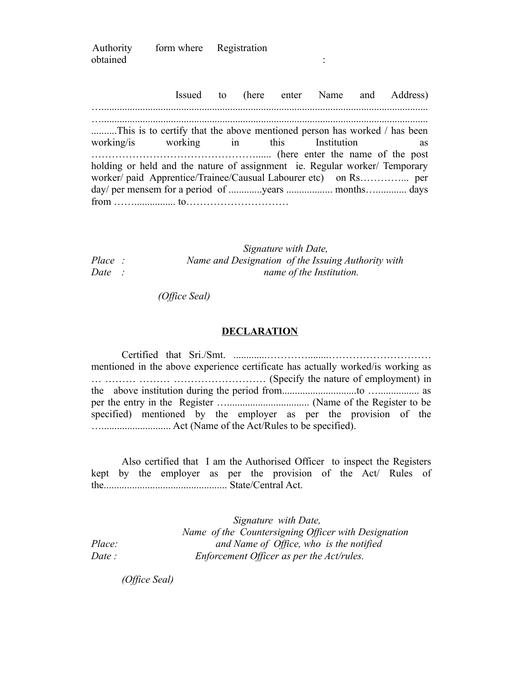| Authority | form where Registration |  |  |
|-----------|-------------------------|--|--|
| obtained  |                         |  |  |

 Issued to (here enter Name and Address) …............................................................................................................................... …............................................................................................................................... ..........This is to certify that the above mentioned person has worked / has been working/is working in this Institution as …………………………………………...... (here enter the name of the post holding or held and the nature of assignment ie. Regular worker/ Temporary worker/ paid Apprentice/Trainee/Causual Labourer etc) on Rs………….... per day/ per mensem for a period of ..............years ................... months….............. days from ……................ to…………………………

|        | Signature with Date,                               |  |  |
|--------|----------------------------------------------------|--|--|
| Place: | Name and Designation of the Issuing Authority with |  |  |
| Date   | name of the Institution.                           |  |  |

 *(Office Seal)*

#### **DECLARATION**

Certified that Sri./Smt. .............…………........………………………… mentioned in the above experience certificate has actually worked/is working as … ……… ……… ……………………… (Specify the nature of employment) in the above institution during the period from.............................to …................ as per the entry in the Register …................................ (Name of the Register to be specified) mentioned by the employer as per the provision of the …........................... Act (Name of the Act/Rules to be specified).

Also certified that I am the Authorised Officer to inspect the Registers kept by the employer as per the provision of the Act/ Rules of the................................................ State/Central Act.

 *Signature with Date, Name of the Countersigning Officer with Designation Place: and Name of Office, who is the notified Date : Enforcement Officer as per the Act/rules.*

*(Office Seal)*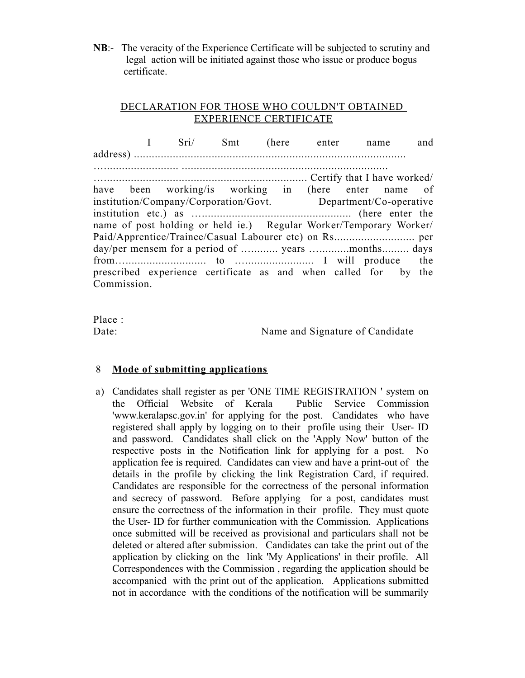**NB**:- The veracity of the Experience Certificate will be subjected to scrutiny and legal action will be initiated against those who issue or produce bogus certificate.

## DECLARATION FOR THOSE WHO COULDN'T OBTAINED EXPERIENCE CERTIFICATE

 I Sri/ Smt (here enter name and address) ........................................................................................... …......................... ..................................................................... ….................................................................... Certify that I have worked/ have been working/is working in (here enter name of institution/Company/Corporation/Govt. Department/Co-operative institution etc.) as ….................................................. (here enter the name of post holding or held ie.) Regular Worker/Temporary Worker/ Paid/Apprentice/Trainee/Casual Labourer etc) on Rs........................... per day/per mensem for a period of ............ years ..............months......... days from…........................... to …....................... I will produce the prescribed experience certificate as and when called for by the Commission.

Place :

Date: Name and Signature of Candidate

# 8 **Mode of submitting applications**

a) Candidates shall register as per 'ONE TIME REGISTRATION ' system on the Official Website of Kerala Public Service Commission 'www.keralapsc.gov.in' for applying for the post. Candidates who have registered shall apply by logging on to their profile using their User- ID and password. Candidates shall click on the 'Apply Now' button of the respective posts in the Notification link for applying for a post. No application fee is required. Candidates can view and have a print-out of the details in the profile by clicking the link Registration Card, if required. Candidates are responsible for the correctness of the personal information and secrecy of password. Before applying for a post, candidates must ensure the correctness of the information in their profile. They must quote the User- ID for further communication with the Commission. Applications once submitted will be received as provisional and particulars shall not be deleted or altered after submission. Candidates can take the print out of the application by clicking on the link 'My Applications' in their profile. All Correspondences with the Commission , regarding the application should be accompanied with the print out of the application. Applications submitted not in accordance with the conditions of the notification will be summarily